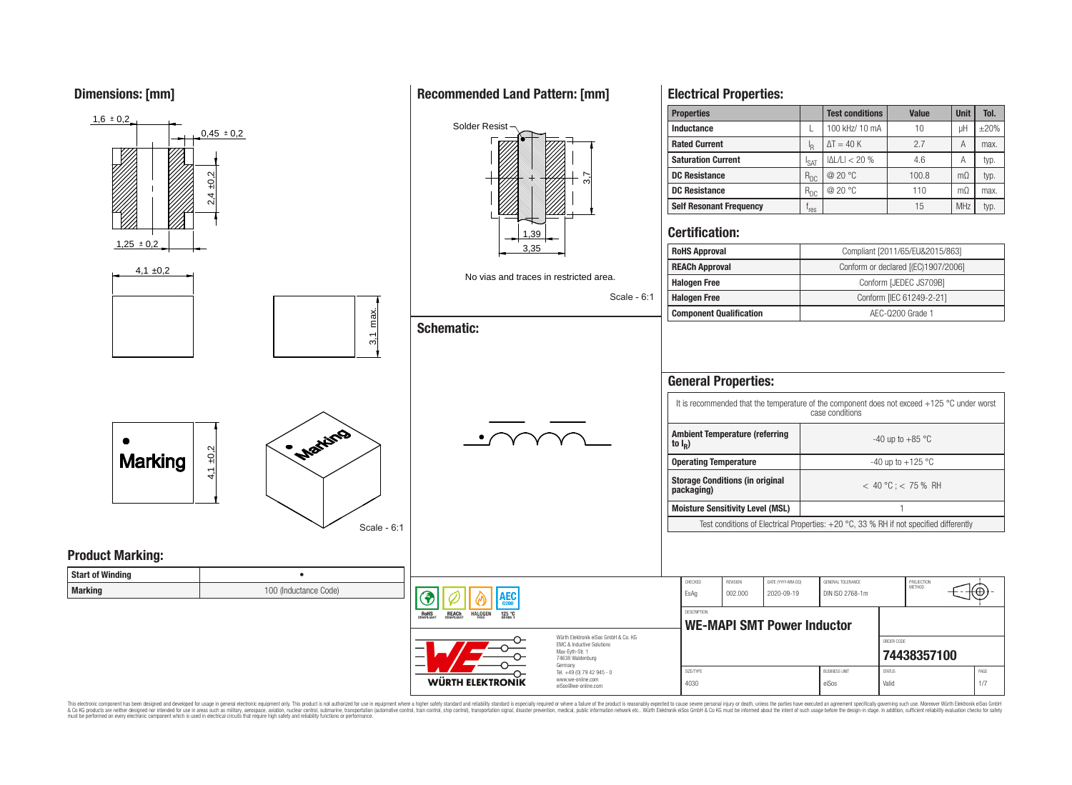**Dimensions: [mm]**



This electronic component has been designed and developed for usage in general electronic equipment only. This product is not authorized for use in equipment where a higher safety standard and reliability standard is espec & Ook product a label and the membed of the seasuch as marked and as which such a membed and the such assume that income in the seasuch and the simulation and the such assume that include to the such a membed and the such

# **Recommended Land Pattern: [mm]**

**Electrical Properties:**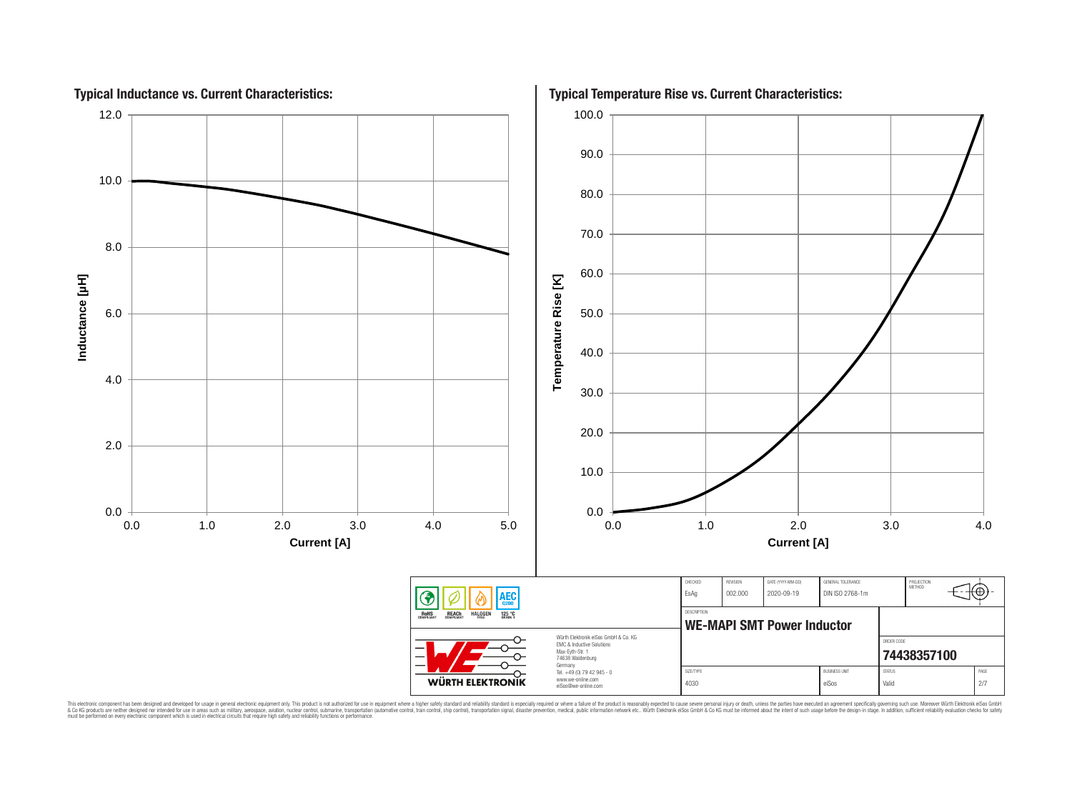

This electronic component has been designed and developed for usage in general electronic equipment only. This product is not authorized for subserved requipment where a higher selection equipment where a higher selection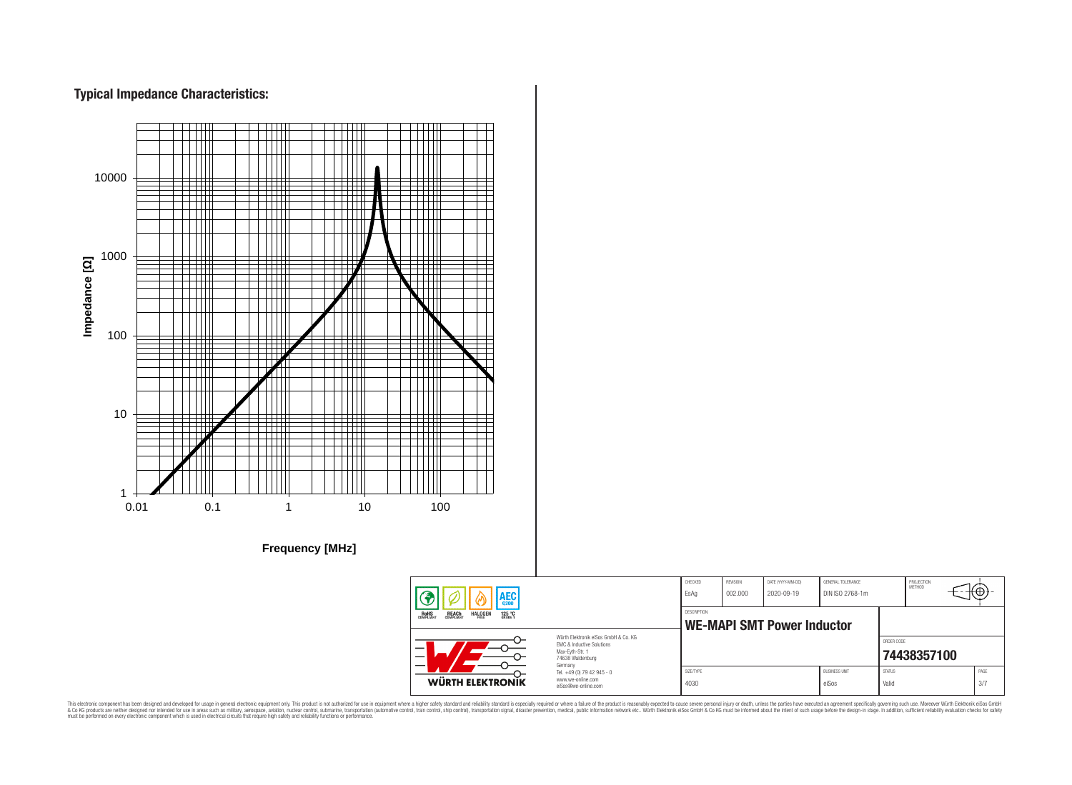# **Typical Impedance Characteristics:**



This electronic component has been designed and developed for usage in general electronic equipment only. This product is not authorized for use in equipment where a higher safely standard and reliability standard si espec & Ook product a label and the membed of the seasuch as marked and as which such a membed and the such assume that income in the seasuch and the simulation and the such assume that include to the such a membed and the such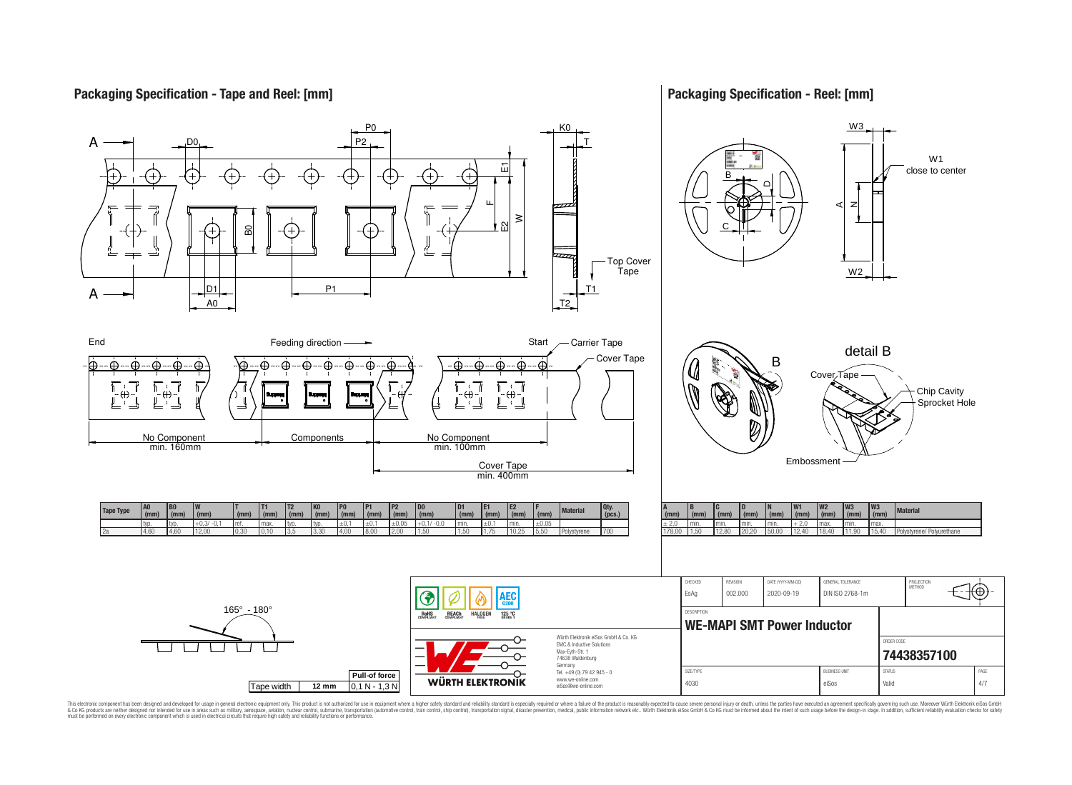## **Packaging Specification - Tape and Reel: [mm]**

## **Packaging Specification - Reel: [mm]**



This electronic component has been designed and developed for usage in general electronic equipment only. This product is not authorized for subserved requipment where a higher selection equipment where a higher selection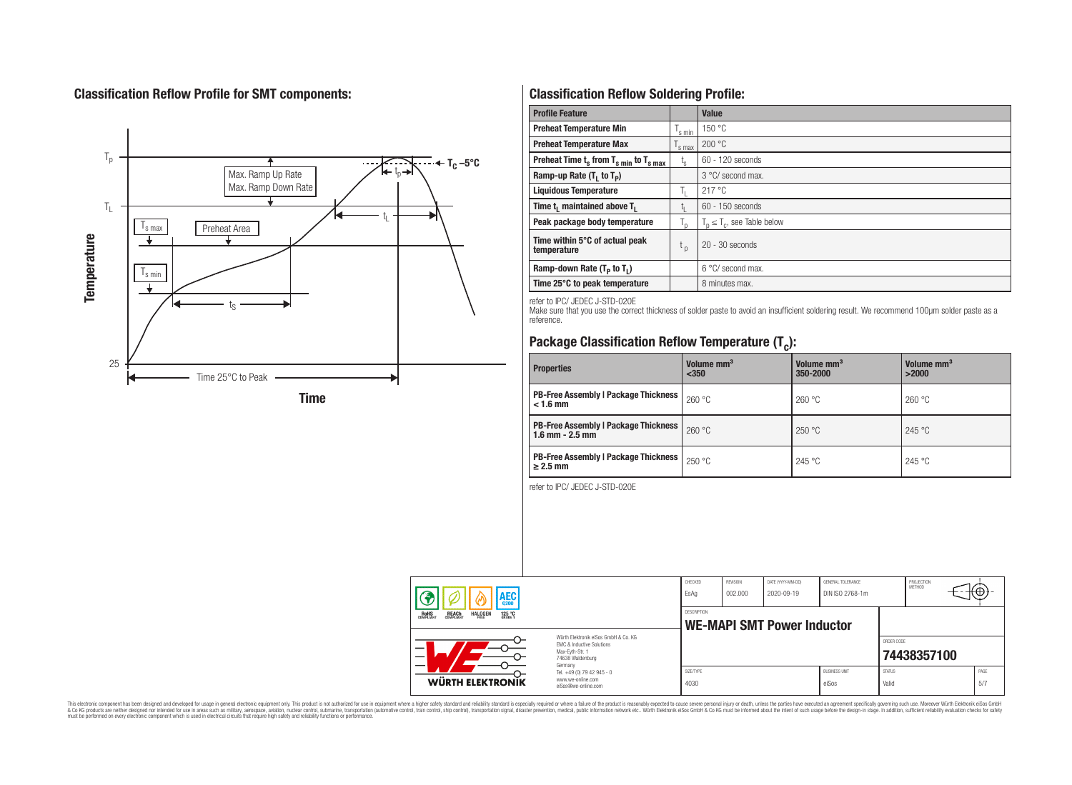# **Classification Reflow Profile for SMT components:**



# **Classification Reflow Soldering Profile:**

| <b>Profile Feature</b>                             |                    | <b>Value</b>                     |
|----------------------------------------------------|--------------------|----------------------------------|
| <b>Preheat Temperature Min</b>                     | <sup>I</sup> s min | 150 °C                           |
| <b>Preheat Temperature Max</b>                     | <sup>I</sup> s max | 200 °C                           |
| Preheat Time $t_s$ from $T_{s min}$ to $T_{s max}$ | $t_{\rm s}$        | $60 - 120$ seconds               |
| Ramp-up Rate $(T_1$ to $T_p$ )                     |                    | 3 °C/ second max.                |
| <b>Liquidous Temperature</b>                       | Ь.                 | 217 °C                           |
| Time $t_i$ maintained above $T_i$                  | կ                  | $60 - 150$ seconds               |
| Peak package body temperature                      | l n                | $T_p \leq T_c$ , see Table below |
| Time within 5°C of actual peak<br>temperature      | $t_{p}$            | $20 - 30$ seconds                |
| Ramp-down Rate $(T_p$ to $T_1$ )                   |                    | $6^{\circ}$ C/ second max.       |
| Time 25°C to peak temperature                      |                    | 8 minutes max.                   |

refer to IPC/ JEDEC J-STD-020E

Make sure that you use the correct thickness of solder paste to avoid an insufficient soldering result. We recommend 100µm solder paste as a reference.

# **Package Classification Reflow Temperature (T<sup>c</sup> ):**

| <b>Properties</b>                                                    | Volume mm <sup>3</sup><br>< 350 | Volume mm <sup>3</sup><br>350-2000 | Volume mm <sup>3</sup><br>>2000 |  |
|----------------------------------------------------------------------|---------------------------------|------------------------------------|---------------------------------|--|
| <b>PB-Free Assembly   Package Thickness  </b><br>$< 1.6$ mm          | 260 °C                          | 260 °C                             | 260 °C                          |  |
| <b>PB-Free Assembly   Package Thickness  </b><br>$1.6$ mm $- 2.5$ mm | 260 °C                          | 250 °C                             | 245 °C                          |  |
| <b>PB-Free Assembly   Package Thickness  </b><br>$\geq$ 2.5 mm       | 250 °C                          | 245 °C                             | 245 °C                          |  |

refer to IPC/ JEDEC J-STD-020E

| <b>AEC</b><br><b>REACH</b><br>COMPLIANT<br><b>HALOGEN</b><br><b>ROHS</b><br>COMPLIANT<br>125 °C<br>Grade 1 |                                                                                                                     | CHECKED<br>EsAq                                  | <b>REVISION</b><br>002.000 | DATE (YYYY-MM-DD)<br>2020-09-19 | GENERAL TOLERANCE<br>DIN ISO 2768-1m |                        | PROJECTION<br>METHOD |             |
|------------------------------------------------------------------------------------------------------------|---------------------------------------------------------------------------------------------------------------------|--------------------------------------------------|----------------------------|---------------------------------|--------------------------------------|------------------------|----------------------|-------------|
|                                                                                                            |                                                                                                                     | DESCRIPTION<br><b>WE-MAPI SMT Power Inductor</b> |                            |                                 |                                      |                        |                      |             |
|                                                                                                            | Würth Flektronik eiSos GmbH & Co. KG<br>FMC & Inductive Solutions<br>Max-Eyth-Str. 1<br>74638 Waldenburg<br>Germany |                                                  |                            |                                 |                                      | ORDER CODE             | 74438357100          |             |
| WÜRTH ELEKTRONIK                                                                                           | Tel. +49 (0) 79 42 945 - 0<br>www.we-online.com<br>eiSos@we-online.com                                              | SIZE/TYPE<br>4030                                |                            |                                 | <b>BUSINESS UNIT</b><br>eiSos        | <b>STATUS</b><br>Valid |                      | PAGE<br>5/7 |

This electronic component has been designed and developed for usage in general electronic equipment only. This product is not authorized for subserved requipment where a higher selection equipment where a higher selection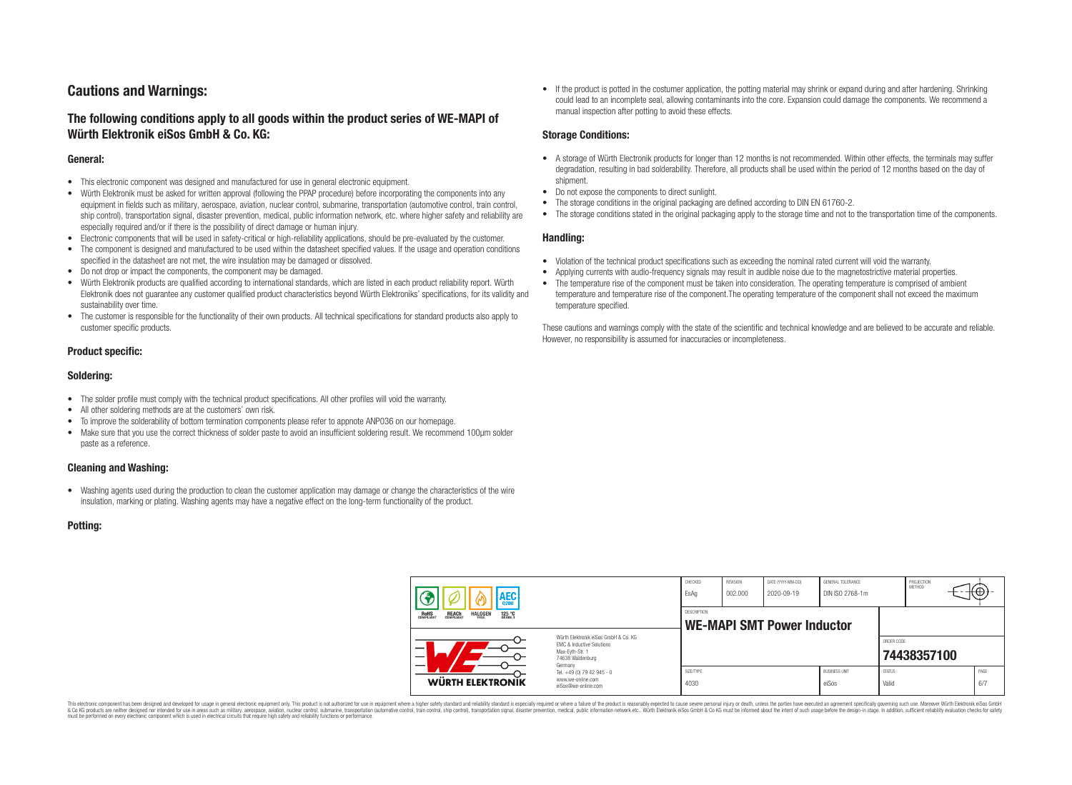# **Cautions and Warnings:**

## **The following conditions apply to all goods within the product series of WE-MAPI of Würth Elektronik eiSos GmbH & Co. KG:**

#### **General:**

- This electronic component was designed and manufactured for use in general electronic equipment.
- Würth Elektronik must be asked for written approval (following the PPAP procedure) before incorporating the components into any equipment in fields such as military, aerospace, aviation, nuclear control, submarine, transportation (automotive control, train control, ship control), transportation signal, disaster prevention, medical, public information network, etc. where higher safety and reliability are especially required and/or if there is the possibility of direct damage or human injury.
- Electronic components that will be used in safety-critical or high-reliability applications, should be pre-evaluated by the customer.
- The component is designed and manufactured to be used within the datasheet specified values. If the usage and operation conditions specified in the datasheet are not met, the wire insulation may be damaged or dissolved.
- Do not drop or impact the components, the component may be damaged.
- Würth Elektronik products are qualified according to international standards, which are listed in each product reliability report. Würth Elektronik does not guarantee any customer qualified product characteristics beyond Würth Elektroniks' specifications, for its validity and sustainability over time.
- The customer is responsible for the functionality of their own products. All technical specifications for standard products also apply to customer specific products.

## **Product specific:**

#### **Soldering:**

- The solder profile must comply with the technical product specifications. All other profiles will void the warranty.
- All other soldering methods are at the customers' own risk.
- To improve the solderability of bottom termination components please refer to appnote ANP036 on our homepage.
- Make sure that you use the correct thickness of solder paste to avoid an insufficient soldering result. We recommend 100µm solder paste as a reference.

## **Cleaning and Washing:**

• Washing agents used during the production to clean the customer application may damage or change the characteristics of the wire insulation, marking or plating. Washing agents may have a negative effect on the long-term functionality of the product.

#### **Potting:**

• If the product is potted in the costumer application, the potting material may shrink or expand during and after hardening. Shrinking could lead to an incomplete seal, allowing contaminants into the core. Expansion could damage the components. We recommend a manual inspection after potting to avoid these effects.

#### **Storage Conditions:**

- A storage of Würth Electronik products for longer than 12 months is not recommended. Within other effects, the terminals may suffer degradation, resulting in bad solderability. Therefore, all products shall be used within the period of 12 months based on the day of shipment.
- Do not expose the components to direct sunlight.
- The storage conditions in the original packaging are defined according to DIN EN 61760-2.
- The storage conditions stated in the original packaging apply to the storage time and not to the transportation time of the components.

#### **Handling:**

- Violation of the technical product specifications such as exceeding the nominal rated current will void the warranty.
- Applying currents with audio-frequency signals may result in audible noise due to the magnetostrictive material properties.
- The temperature rise of the component must be taken into consideration. The operating temperature is comprised of ambient temperature and temperature rise of the component.The operating temperature of the component shall not exceed the maximum temperature specified.

These cautions and warnings comply with the state of the scientific and technical knowledge and are believed to be accurate and reliable. However, no responsibility is assumed for inaccuracies or incompleteness.

| AEC<br>125 °C<br><b>ROHS</b><br>COMPLIANT<br><b>REACH</b><br>COMPLIANT<br><b>HALOGEN</b> |                                                                                                                                                                                               | CHECKED<br>EsAq                                  | <b>REVISION</b><br>002.000 | DATE (YYYY-MM-DD)<br>2020-09-19 | GENERAL TOLERANCE<br>DIN ISO 2768-1m |                        | PROJECTION<br>METHOD |  | ťΦ          |
|------------------------------------------------------------------------------------------|-----------------------------------------------------------------------------------------------------------------------------------------------------------------------------------------------|--------------------------------------------------|----------------------------|---------------------------------|--------------------------------------|------------------------|----------------------|--|-------------|
|                                                                                          |                                                                                                                                                                                               | DESCRIPTION<br><b>WE-MAPI SMT Power Inductor</b> |                            |                                 |                                      |                        |                      |  |             |
|                                                                                          | Würth Flektronik eiSos GmbH & Co. KG<br>FMC & Inductive Solutions<br>Max-Eyth-Str. 1<br>74638 Waldenburg<br>Germany<br>Tel. +49 (0) 79 42 945 - 0<br>www.we-online.com<br>eiSos@we-online.com |                                                  |                            |                                 |                                      | ORDER CODE             | 74438357100          |  |             |
| WÜRTH ELEKTRONIK                                                                         |                                                                                                                                                                                               | SIZE/TYPE<br>4030                                |                            |                                 | <b>BUSINESS UNIT</b><br>eiSos        | <b>STATUS</b><br>Valid |                      |  | PAGE<br>6/7 |

This electronic component has been designed and developed for usage in general electronic equipment only. This product is not authorized for use in equipment where a higher safety standard and reliability standard si espec & Ook product a label and the membed of the seasuch as marked and as which such a membed and the such assume that income in the seasuch and the simulation and the such assume that include to the such a membed and the such